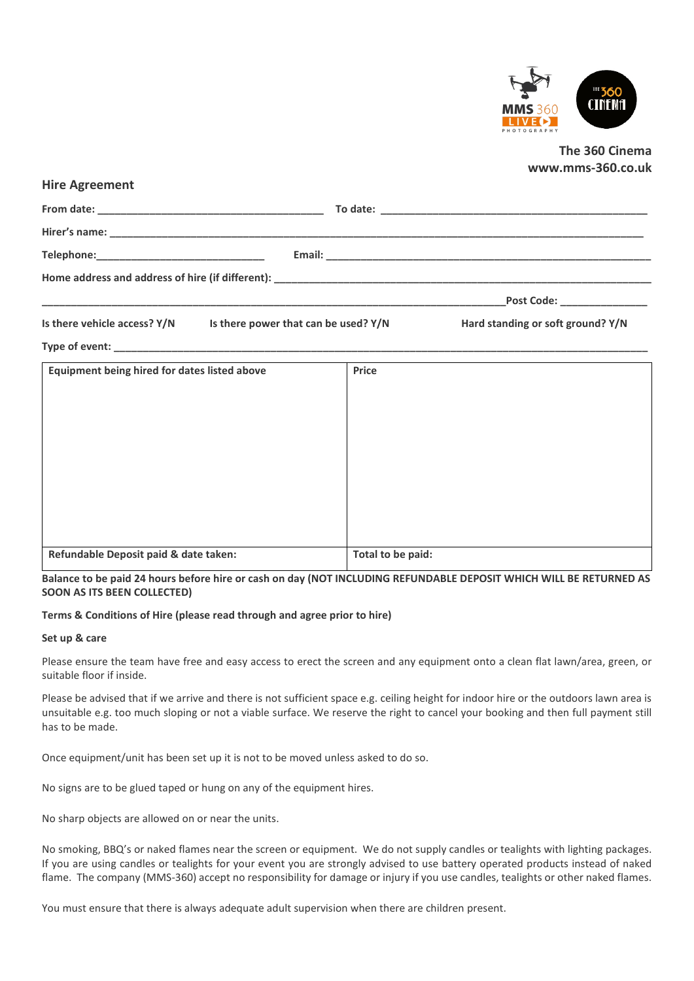

# **The 360 Cinema www.mms-360.co.uk**

|                                                                       |       | Post Code: ________________       |
|-----------------------------------------------------------------------|-------|-----------------------------------|
| Is there vehicle access? $Y/N$ Is there power that can be used? $Y/N$ |       | Hard standing or soft ground? Y/N |
|                                                                       |       |                                   |
| <b>Equipment being hired for dates listed above</b>                   | Price |                                   |
|                                                                       |       |                                   |
|                                                                       |       |                                   |
|                                                                       |       |                                   |
|                                                                       |       |                                   |
|                                                                       |       |                                   |

**Refundable Deposit paid & date taken: Total to be paid:**

**Balance to be paid 24 hours before hire or cash on day (NOT INCLUDING REFUNDABLE DEPOSIT WHICH WILL BE RETURNED AS SOON AS ITS BEEN COLLECTED)**

# **Terms & Conditions of Hire (please read through and agree prior to hire)**

#### **Set up & care**

**Hire Agreement**

Please ensure the team have free and easy access to erect the screen and any equipment onto a clean flat lawn/area, green, or suitable floor if inside.

Please be advised that if we arrive and there is not sufficient space e.g. ceiling height for indoor hire or the outdoors lawn area is unsuitable e.g. too much sloping or not a viable surface. We reserve the right to cancel your booking and then full payment still has to be made.

Once equipment/unit has been set up it is not to be moved unless asked to do so.

No signs are to be glued taped or hung on any of the equipment hires.

No sharp objects are allowed on or near the units.

No smoking, BBQ's or naked flames near the screen or equipment. We do not supply candles or tealights with lighting packages. If you are using candles or tealights for your event you are strongly advised to use battery operated products instead of naked flame. The company (MMS-360) accept no responsibility for damage or injury if you use candles, tealights or other naked flames.

You must ensure that there is always adequate adult supervision when there are children present.